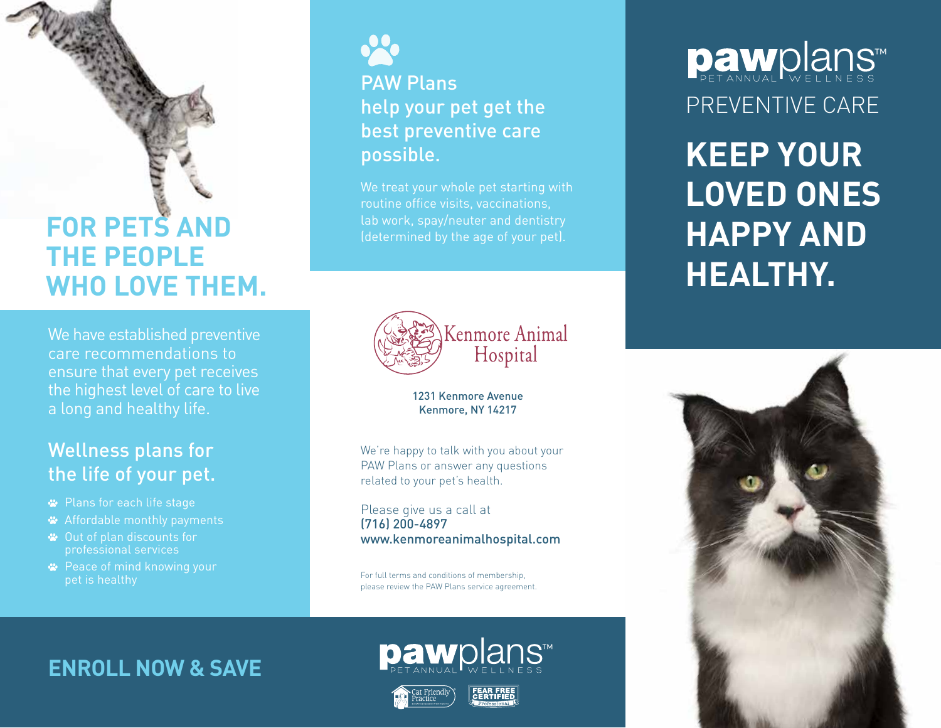# **FOR PETS AND THE PEOPLE WHO LOVE THEM.**

We have established preventive care recommendations to ensure that every pet receives the highest level of care to live a long and healthy life.

### Wellness plans for the life of your pet.

- Plans for each life stage
- Affordable monthly payments
- Out of plan discounts for professional services
- **<sup>■</sup>** Peace of mind knowing your pet is healthy



## PAW Plans help your pet get the best preventive care possible.

We treat your whole pet starting with routine office visits, vaccinations, lab work, spay/neuter and dentistry



1231 Kenmore Avenue Kenmore, NY 14217

We're happy to talk with you about your PAW Plans or answer any questions related to your pet's health.

Please give us a call at (716) 200-4897 www.kenmoreanimalhospital.com

For full terms and conditions of membership, please review the PAW Plans service agreement.

**paw**plans™

## **ENROLL NOW & SAVE**





# PREVENTIVE CARE **Daw**plans™

**KEEP YOUR LOVED ONES HAPPY AND HEALTHY.**